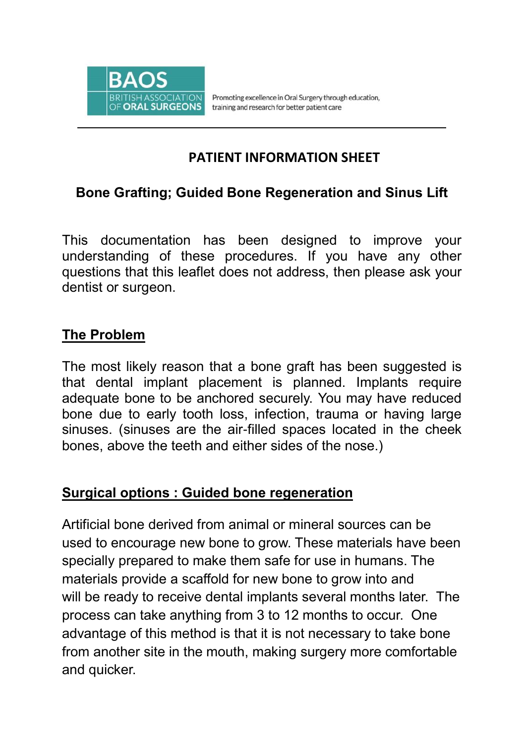

Promoting excellence in Oral Surgery through education, training and research for better patient care

## **PATIENT INFORMATION SHEET**

## **Bone Grafting; Guided Bone Regeneration and Sinus Lift**

This documentation has been designed to improve your understanding of these procedures. If you have any other questions that this leaflet does not address, then please ask your dentist or surgeon.

## **The Problem**

The most likely reason that a bone graft has been suggested is that dental implant placement is planned. Implants require adequate bone to be anchored securely. You may have reduced bone due to early tooth loss, infection, trauma or having large sinuses. (sinuses are the air-filled spaces located in the cheek bones, above the teeth and either sides of the nose.)

#### **Surgical options : Guided bone regeneration**

Artificial bone derived from animal or mineral sources can be used to encourage new bone to grow. These materials have been specially prepared to make them safe for use in humans. The materials provide a scaffold for new bone to grow into and will be ready to receive dental implants several months later. The process can take anything from 3 to 12 months to occur. One advantage of this method is that it is not necessary to take bone from another site in the mouth, making surgery more comfortable and quicker.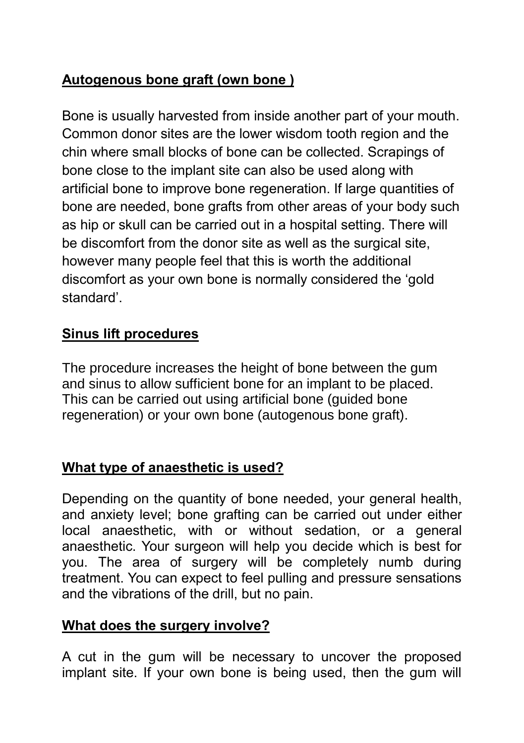# **Autogenous bone graft (own bone )**

Bone is usually harvested from inside another part of your mouth. Common donor sites are the lower wisdom tooth region and the chin where small blocks of bone can be collected. Scrapings of bone close to the implant site can also be used along with artificial bone to improve bone regeneration. If large quantities of bone are needed, bone grafts from other areas of your body such as hip or skull can be carried out in a hospital setting. There will be discomfort from the donor site as well as the surgical site, however many people feel that this is worth the additional discomfort as your own bone is normally considered the 'gold standard'.

## **Sinus lift procedures**

The procedure increases the height of bone between the gum and sinus to allow sufficient bone for an implant to be placed. This can be carried out using artificial bone (guided bone regeneration) or your own bone (autogenous bone graft).

## **What type of anaesthetic is used?**

Depending on the quantity of bone needed, your general health, and anxiety level; bone grafting can be carried out under either local anaesthetic, with or without sedation, or a general anaesthetic. Your surgeon will help you decide which is best for you. The area of surgery will be completely numb during treatment. You can expect to feel pulling and pressure sensations and the vibrations of the drill, but no pain.

#### **What does the surgery involve?**

A cut in the gum will be necessary to uncover the proposed implant site. If your own bone is being used, then the gum will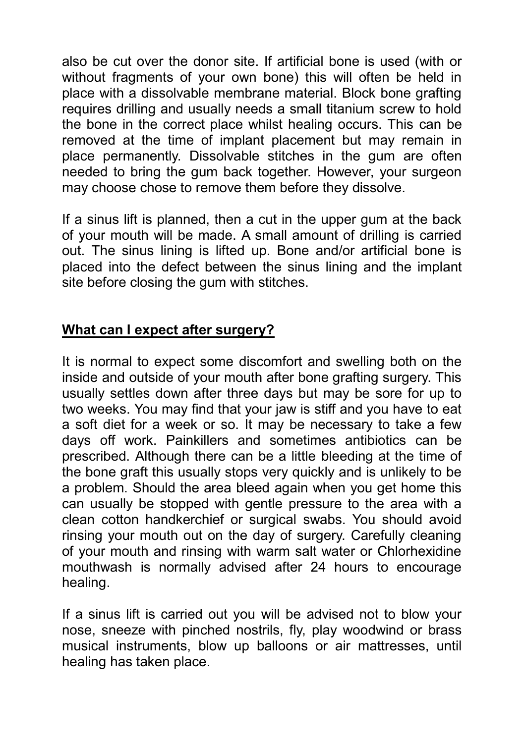also be cut over the donor site. If artificial bone is used (with or without fragments of your own bone) this will often be held in place with a dissolvable membrane material. Block bone grafting requires drilling and usually needs a small titanium screw to hold the bone in the correct place whilst healing occurs. This can be removed at the time of implant placement but may remain in place permanently. Dissolvable stitches in the gum are often needed to bring the gum back together. However, your surgeon may choose chose to remove them before they dissolve.

If a sinus lift is planned, then a cut in the upper gum at the back of your mouth will be made. A small amount of drilling is carried out. The sinus lining is lifted up. Bone and/or artificial bone is placed into the defect between the sinus lining and the implant site before closing the gum with stitches.

## **What can I expect after surgery?**

It is normal to expect some discomfort and swelling both on the inside and outside of your mouth after bone grafting surgery. This usually settles down after three days but may be sore for up to two weeks. You may find that your jaw is stiff and you have to eat a soft diet for a week or so. It may be necessary to take a few days off work. Painkillers and sometimes antibiotics can be prescribed. Although there can be a little bleeding at the time of the bone graft this usually stops very quickly and is unlikely to be a problem. Should the area bleed again when you get home this can usually be stopped with gentle pressure to the area with a clean cotton handkerchief or surgical swabs. You should avoid rinsing your mouth out on the day of surgery. Carefully cleaning of your mouth and rinsing with warm salt water or Chlorhexidine mouthwash is normally advised after 24 hours to encourage healing.

If a sinus lift is carried out you will be advised not to blow your nose, sneeze with pinched nostrils, fly, play woodwind or brass musical instruments, blow up balloons or air mattresses, until healing has taken place.